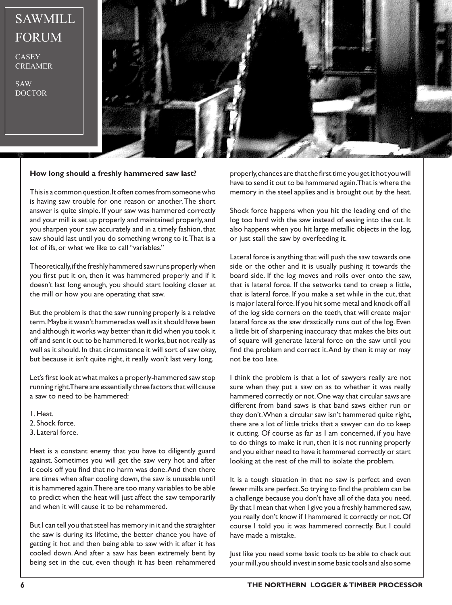## SAWMILL FORUM

**CASEY** CREAMER

SAW DOCTOR



### **How long should a freshly hammered saw last?**

This is a common question. It often comes from someone who is having saw trouble for one reason or another. The short answer is quite simple. If your saw was hammered correctly and your mill is set up properly and maintained properly, and you sharpen your saw accurately and in a timely fashion, that saw should last until you do something wrong to it. That is a lot of ifs, or what we like to call "variables."

Theoretically, if the freshly hammered saw runs properly when you first put it on, then it was hammered properly and if it doesn't last long enough, you should start looking closer at the mill or how you are operating that saw.

But the problem is that the saw running properly is a relative term. Maybe it wasn't hammered as well as it should have been and although it works way better than it did when you took it off and sent it out to be hammered. It works, but not really as well as it should. In that circumstance it will sort of saw okay, but because it isn't quite right, it really won't last very long.

Let's first look at what makes a properly-hammered saw stop running right. There are essentially three factors that will cause a saw to need to be hammered:

1. Heat.

- 2. Shock force.
- 3. Lateral force.

Heat is a constant enemy that you have to diligently guard against. Sometimes you will get the saw very hot and after it cools off you find that no harm was done. And then there are times when after cooling down, the saw is unusable until it is hammered again. There are too many variables to be able to predict when the heat will just affect the saw temporarily and when it will cause it to be rehammered.

But I can tell you that steel has memory in it and the straighter the saw is during its lifetime, the better chance you have of getting it hot and then being able to saw with it after it has cooled down. And after a saw has been extremely bent by being set in the cut, even though it has been rehammered

properly, chances are that the first time you get it hot you will have to send it out to be hammered again. That is where the memory in the steel applies and is brought out by the heat.

Shock force happens when you hit the leading end of the log too hard with the saw instead of easing into the cut. It also happens when you hit large metallic objects in the log, or just stall the saw by overfeeding it.

Lateral force is anything that will push the saw towards one side or the other and it is usually pushing it towards the board side. If the log moves and rolls over onto the saw, that is lateral force. If the setworks tend to creep a little, that is lateral force. If you make a set while in the cut, that is major lateral force. If you hit some metal and knock off all of the log side corners on the teeth, that will create major lateral force as the saw drastically runs out of the log. Even a little bit of sharpening inaccuracy that makes the bits out of square will generate lateral force on the saw until you find the problem and correct it. And by then it may or may not be too late.

I think the problem is that a lot of sawyers really are not sure when they put a saw on as to whether it was really hammered correctly or not. One way that circular saws are different from band saws is that band saws either run or they don't. When a circular saw isn't hammered quite right, there are a lot of little tricks that a sawyer can do to keep it cutting. Of course as far as I am concerned, if you have to do things to make it run, then it is not running properly and you either need to have it hammered correctly or start looking at the rest of the mill to isolate the problem.

It is a tough situation in that no saw is perfect and even fewer mills are perfect. So trying to find the problem can be a challenge because you don't have all of the data you need. By that I mean that when I give you a freshly hammered saw, you really don't know if I hammered it correctly or not. Of course I told you it was hammered correctly. But I could have made a mistake.

Just like you need some basic tools to be able to check out your mill, you should invest in some basic tools and also some